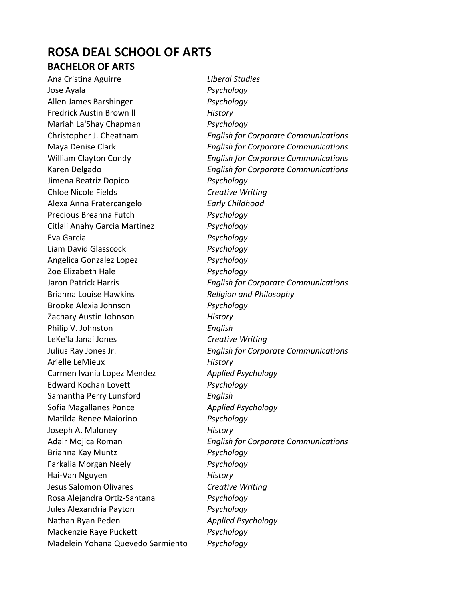### **ROSA DEAL SCHOOL OF ARTS BACHELOR OF ARTS**

Ana Cristina Aguirre *Liberal Studies* Jose Ayala *Psychology* Allen James Barshinger *Psychology* Fredrick Austin Brown ll *History* Mariah La'Shay Chapman *Psychology* Jimena Beatriz Dopico *Psychology* Chloe Nicole Fields *Creative Writing* Alexa Anna Fratercangelo *Early Childhood* Precious Breanna Futch *Psychology* Citlali Anahy Garcia Martinez *Psychology* Eva Garcia *Psychology* Liam David Glasscock *Psychology* Angelica Gonzalez Lopez *Psychology* Zoe Elizabeth Hale *Psychology* Brianna Louise Hawkins *Religion and Philosophy* Brooke Alexia Johnson *Psychology* Zachary Austin Johnson *History* Philip V. Johnston *English* LeKe'la Janai Jones *Creative Writing* Arielle LeMieux *History* Carmen Ivania Lopez Mendez *Applied Psychology* Edward Kochan Lovett *Psychology* Samantha Perry Lunsford *English* Sofia Magallanes Ponce *Applied Psychology* Matilda Renee Maiorino *Psychology* Joseph A. Maloney *History* Brianna Kay Muntz *Psychology* Farkalia Morgan Neely *Psychology* Hai-Van Nguyen *History* Jesus Salomon Olivares *Creative Writing* Rosa Alejandra Ortiz-Santana *Psychology* Jules Alexandria Payton *Psychology* Nathan Ryan Peden *Applied Psychology* Mackenzie Raye Puckett *Psychology* Madelein Yohana Quevedo Sarmiento *Psychology*

Christopher J. Cheatham *English for Corporate Communications* Maya Denise Clark *English for Corporate Communications* William Clayton Condy *English for Corporate Communications* Karen Delgado *English for Corporate Communications* Jaron Patrick Harris *English for Corporate Communications* Julius Ray Jones Jr. *English for Corporate Communications* Adair Mojica Roman *English for Corporate Communications*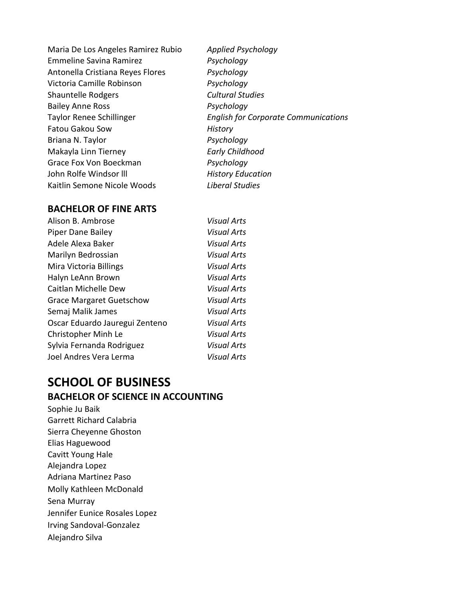Maria De Los Angeles Ramirez Rubio *Applied Psychology* Emmeline Savina Ramirez *Psychology* Antonella Cristiana Reyes Flores *Psychology* Victoria Camille Robinson *Psychology* Shauntelle Rodgers *Cultural Studies* Bailey Anne Ross *Psychology* Fatou Gakou Sow *History* Briana N. Taylor *Psychology* Makayla Linn Tierney *Early Childhood* Grace Fox Von Boeckman *Psychology* John Rolfe Windsor lll *History Education* Kaitlin Semone Nicole Woods *Liberal Studies*

Taylor Renee Schillinger *English for Corporate Communications*

#### **BACHELOR OF FINE ARTS**

| <b>Visual Arts</b> |
|--------------------|
| <b>Visual Arts</b> |
| <b>Visual Arts</b> |
| <b>Visual Arts</b> |
| <b>Visual Arts</b> |
| <b>Visual Arts</b> |
| <b>Visual Arts</b> |
| <b>Visual Arts</b> |
| <b>Visual Arts</b> |
| <b>Visual Arts</b> |
| <b>Visual Arts</b> |
| <b>Visual Arts</b> |
| Visual Arts        |
|                    |

# **SCHOOL OF BUSINESS BACHELOR OF SCIENCE IN ACCOUNTING**

Sophie Ju Baik Garrett Richard Calabria Sierra Cheyenne Ghoston Elias Haguewood Cavitt Young Hale Alejandra Lopez Adriana Martinez Paso Molly Kathleen McDonald Sena Murray Jennifer Eunice Rosales Lopez Irving Sandoval-Gonzalez Alejandro Silva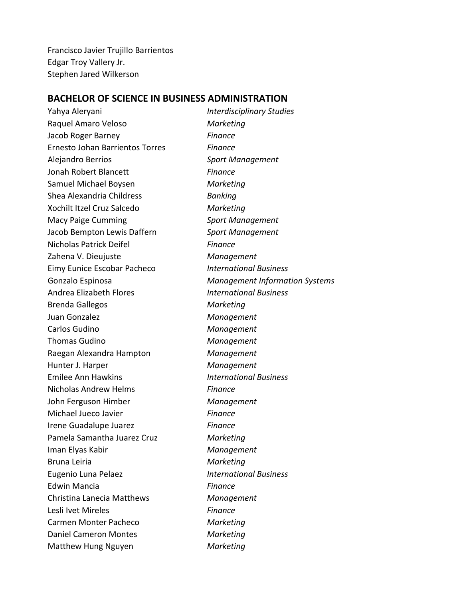Francisco Javier Trujillo Barrientos Edgar Troy Vallery Jr. Stephen Jared Wilkerson

#### **BACHELOR OF SCIENCE IN BUSINESS ADMINISTRATION**

Yahya Aleryani *Interdisciplinary Studies* Raquel Amaro Veloso *Marketing* Jacob Roger Barney *Finance* Ernesto Johan Barrientos Torres *Finance* Alejandro Berrios *Sport Management* Jonah Robert Blancett *Finance* Samuel Michael Boysen *Marketing* Shea Alexandria Childress *Banking* Xochilt Itzel Cruz Salcedo *Marketing* Macy Paige Cumming *Sport Management* Jacob Bempton Lewis Daffern *Sport Management* Nicholas Patrick Deifel *Finance* Zahena V. Dieujuste *Management* Eimy Eunice Escobar Pacheco *International Business* Gonzalo Espinosa *Management Information Systems* Andrea Elizabeth Flores *International Business* Brenda Gallegos *Marketing* Juan Gonzalez *Management* Carlos Gudino *Management* Thomas Gudino *Management* Raegan Alexandra Hampton *Management* Hunter J. Harper *Management* Emilee Ann Hawkins *International Business* Nicholas Andrew Helms *Finance* John Ferguson Himber *Management* Michael Jueco Javier *Finance* Irene Guadalupe Juarez *Finance* Pamela Samantha Juarez Cruz *Marketing* Iman Elyas Kabir *Management* Bruna Leiria *Marketing* Eugenio Luna Pelaez *International Business* Edwin Mancia *Finance* Christina Lanecia Matthews *Management* Lesli Ivet Mireles *Finance* Carmen Monter Pacheco *Marketing* Daniel Cameron Montes *Marketing* Matthew Hung Nguyen *Marketing*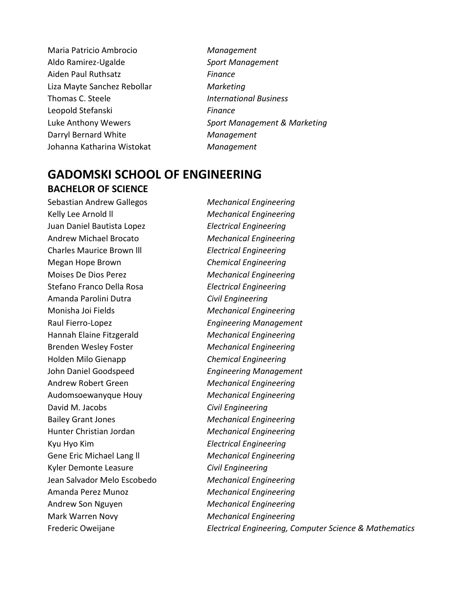- Maria Patricio Ambrocio *Management* Aldo Ramirez-Ugalde *Sport Management* Aiden Paul Ruthsatz *Finance* Liza Mayte Sanchez Rebollar *Marketing* Thomas C. Steele *International Business* Leopold Stefanski *Finance* Darryl Bernard White *Management* Johanna Katharina Wistokat *Management*
- Luke Anthony Wewers *Sport Management & Marketing*

## **GADOMSKI SCHOOL OF ENGINEERING BACHELOR OF SCIENCE**

Sebastian Andrew Gallegos *Mechanical Engineering* Kelly Lee Arnold ll *Mechanical Engineering* Juan Daniel Bautista Lopez *Electrical Engineering* Andrew Michael Brocato *Mechanical Engineering* Charles Maurice Brown lll *Electrical Engineering* Megan Hope Brown *Chemical Engineering* Moises De Dios Perez *Mechanical Engineering* Stefano Franco Della Rosa *Electrical Engineering* Amanda Parolini Dutra *Civil Engineering* Monisha Joi Fields *Mechanical Engineering* Raul Fierro-Lopez *Engineering Management* Hannah Elaine Fitzgerald *Mechanical Engineering* Brenden Wesley Foster *Mechanical Engineering* Holden Milo Gienapp *Chemical Engineering* John Daniel Goodspeed *Engineering Management* Andrew Robert Green *Mechanical Engineering* Audomsoewanyque Houy *Mechanical Engineering* David M. Jacobs *Civil Engineering* Bailey Grant Jones *Mechanical Engineering* Hunter Christian Jordan *Mechanical Engineering* Kyu Hyo Kim *Electrical Engineering* Gene Eric Michael Lang ll *Mechanical Engineering* Kyler Demonte Leasure *Civil Engineering* Jean Salvador Melo Escobedo *Mechanical Engineering* Amanda Perez Munoz *Mechanical Engineering* Andrew Son Nguyen *Mechanical Engineering* Mark Warren Novy *Mechanical Engineering* Frederic Oweijane *Electrical Engineering, Computer Science & Mathematics*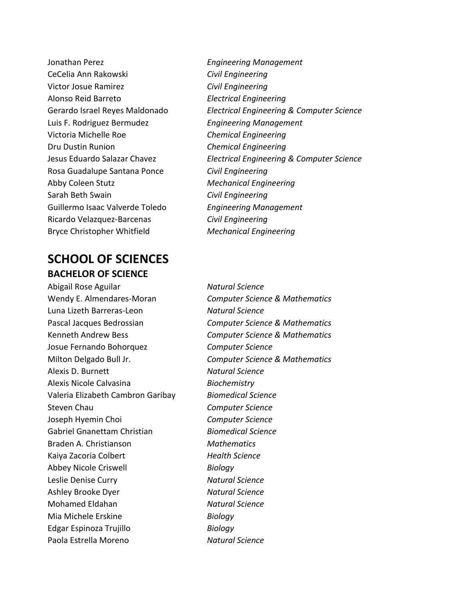Jonathan Perez *Engineering Management* CeCelia Ann Rakowski *Civil Engineering* Victor Josue Ramirez *Civil Engineering* Alonso Reid Barreto *Electrical Engineering* Luis F. Rodriguez Bermudez *Engineering Management* Victoria Michelle Roe *Chemical Engineering* Dru Dustin Runion *Chemical Engineering* Rosa Guadalupe Santana Ponce *Civil Engineering* Abby Coleen Stutz *Mechanical Engineering* Sarah Beth Swain *Civil Engineering* Guillermo Isaac Valverde Toledo *Engineering Management* Ricardo Velazquez-Barcenas *Civil Engineering* Bryce Christopher Whitfield *Mechanical Engineering*

## **SCHOOL OF SCIENCES BACHELOR OF SCIENCE**

Abigail Rose Aguilar *Natural Science* Luna Lizeth Barreras-Leon *Natural Science* Josue Fernando Bohorquez *Computer Science* Alexis D. Burnett *Natural Science* Alexis Nicole Calvasina *Biochemistry* Valeria Elizabeth Cambron Garibay *Biomedical Science* Steven Chau *Computer Science* Joseph Hyemin Choi *Computer Science* Gabriel Gnanettam Christian *Biomedical Science* Braden A. Christianson *Mathematics* Kaiya Zacoria Colbert *Health Science* Abbey Nicole Criswell *Biology* Leslie Denise Curry *Natural Science* Ashley Brooke Dyer *Natural Science* Mohamed Eldahan *Natural Science* Mia Michele Erskine *Biology* Edgar Espinoza Trujillo *Biology* Paola Estrella Moreno *Natural Science*

Gerardo Israel Reyes Maldonado *Electrical Engineering & Computer Science* Jesus Eduardo Salazar Chavez *Electrical Engineering & Computer Science*

Wendy E. Almendares-Moran *Computer Science & Mathematics* Pascal Jacques Bedrossian *Computer Science & Mathematics* Kenneth Andrew Bess *Computer Science & Mathematics* Milton Delgado Bull Jr. *Computer Science & Mathematics*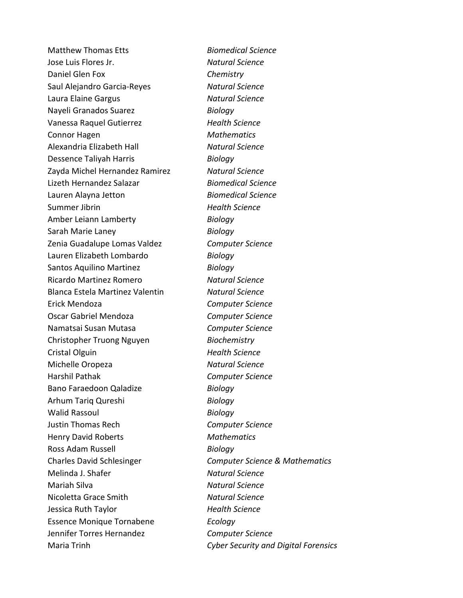Matthew Thomas Etts *Biomedical Science* Jose Luis Flores Jr. *Natural Science* Daniel Glen Fox *Chemistry* Saul Alejandro Garcia-Reyes *Natural Science* Laura Elaine Gargus *Natural Science* Nayeli Granados Suarez *Biology* Vanessa Raquel Gutierrez *Health Science* Connor Hagen *Mathematics* Alexandria Elizabeth Hall *Natural Science* Dessence Taliyah Harris *Biology* Zayda Michel Hernandez Ramirez *Natural Science* Lizeth Hernandez Salazar *Biomedical Science* Lauren Alayna Jetton *Biomedical Science* Summer Jibrin *Health Science* Amber Leiann Lamberty *Biology* Sarah Marie Laney *Biology* Zenia Guadalupe Lomas Valdez *Computer Science* Lauren Elizabeth Lombardo *Biology* Santos Aquilino Martinez *Biology* Ricardo Martinez Romero *Natural Science* Blanca Estela Martinez Valentin *Natural Science* Erick Mendoza *Computer Science* Oscar Gabriel Mendoza *Computer Science* Namatsai Susan Mutasa *Computer Science* Christopher Truong Nguyen *Biochemistry* Cristal Olguin *Health Science* Michelle Oropeza *Natural Science* Harshil Pathak *Computer Science* Bano Faraedoon Qaladize *Biology* Arhum Tariq Qureshi *Biology* Walid Rassoul *Biology* Justin Thomas Rech *Computer Science* Henry David Roberts *Mathematics* Ross Adam Russell *Biology* Melinda J. Shafer *Natural Science* Mariah Silva *Natural Science* Nicoletta Grace Smith *Natural Science* Jessica Ruth Taylor *Health Science* Essence Monique Tornabene *Ecology* Jennifer Torres Hernandez *Computer Science* Maria Trinh *Cyber Security and Digital Forensics*

Charles David Schlesinger *Computer Science & Mathematics*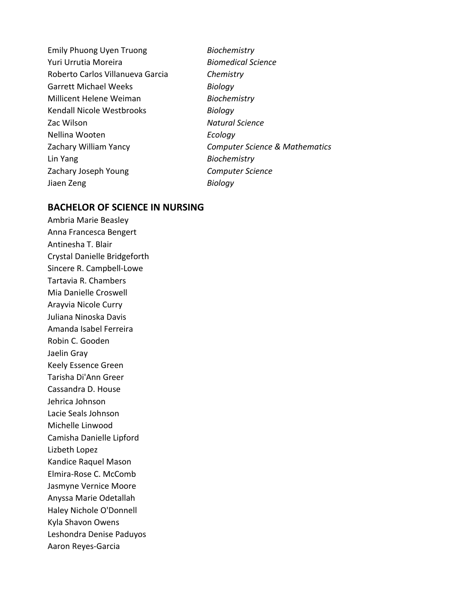Emily Phuong Uyen Truong *Biochemistry* Yuri Urrutia Moreira *Biomedical Science* Roberto Carlos Villanueva Garcia *Chemistry* Garrett Michael Weeks *Biology* Millicent Helene Weiman *Biochemistry* Kendall Nicole Westbrooks *Biology* Zac Wilson *Natural Science* Nellina Wooten *Ecology* Lin Yang *Biochemistry* Zachary Joseph Young *Computer Science* Jiaen Zeng *Biology*

Zachary William Yancy *Computer Science & Mathematics*

#### **BACHELOR OF SCIENCE IN NURSING**

Ambria Marie Beasley Anna Francesca Bengert Antinesha T. Blair Crystal Danielle Bridgeforth Sincere R. Campbell-Lowe Tartavia R. Chambers Mia Danielle Croswell Arayvia Nicole Curry Juliana Ninoska Davis Amanda Isabel Ferreira Robin C. Gooden Jaelin Gray Keely Essence Green Tarisha Di'Ann Greer Cassandra D. House Jehrica Johnson Lacie Seals Johnson Michelle Linwood Camisha Danielle Lipford Lizbeth Lopez Kandice Raquel Mason Elmira-Rose C. McComb Jasmyne Vernice Moore Anyssa Marie Odetallah Haley Nichole O'Donnell Kyla Shavon Owens Leshondra Denise Paduyos Aaron Reyes-Garcia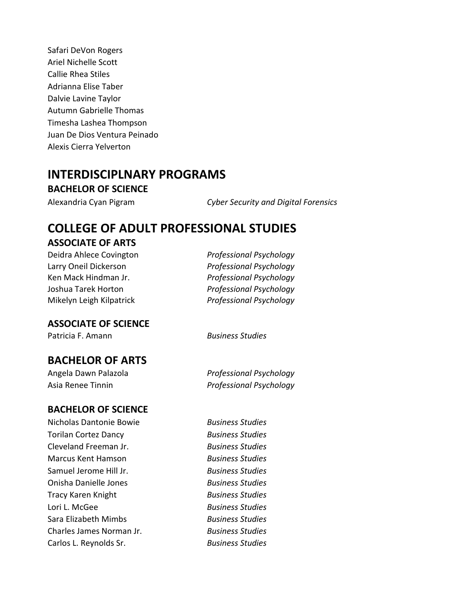Safari DeVon Rogers Ariel Nichelle Scott Callie Rhea Stiles Adrianna Elise Taber Dalvie Lavine Taylor Autumn Gabrielle Thomas Timesha Lashea Thompson Juan De Dios Ventura Peinado Alexis Cierra Yelverton

### **INTERDISCIPLNARY PROGRAMS**

**BACHELOR OF SCIENCE**

Alexandria Cyan Pigram *Cyber Security and Digital Forensics*

# **COLLEGE OF ADULT PROFESSIONAL STUDIES**

#### **ASSOCIATE OF ARTS**

Deidra Ahlece Covington *Professional Psychology* Larry Oneil Dickerson *Professional Psychology* Ken Mack Hindman Jr. *Professional Psychology* Joshua Tarek Horton *Professional Psychology* Mikelyn Leigh Kilpatrick *Professional Psychology*

#### **ASSOCIATE OF SCIENCE**

Patricia F. Amann *Business Studies*

### **BACHELOR OF ARTS**

#### **BACHELOR OF SCIENCE**

Nicholas Dantonie Bowie *Business Studies* Torilan Cortez Dancy *Business Studies* Cleveland Freeman Jr. *Business Studies* Marcus Kent Hamson *Business Studies* Samuel Jerome Hill Jr. *Business Studies* Onisha Danielle Jones *Business Studies* Tracy Karen Knight *Business Studies* Lori L. McGee *Business Studies* Sara Elizabeth Mimbs *Business Studies* Charles James Norman Jr. *Business Studies* Carlos L. Reynolds Sr. *Business Studies*

Angela Dawn Palazola *Professional Psychology* Asia Renee Tinnin *Professional Psychology*